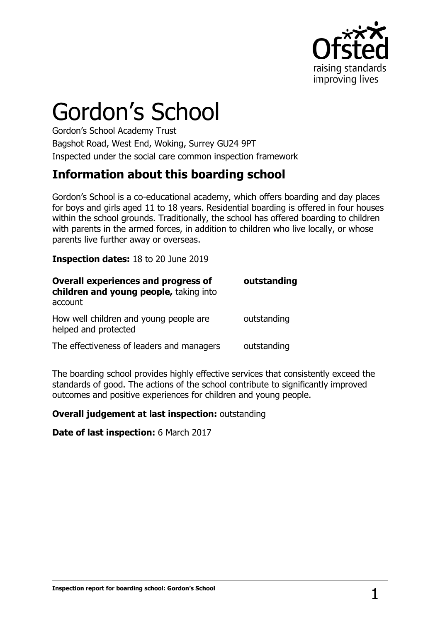

# Gordon's School

Gordon's School Academy Trust Bagshot Road, West End, Woking, Surrey GU24 9PT Inspected under the social care common inspection framework

# **Information about this boarding school**

Gordon's School is a co-educational academy, which offers boarding and day places for boys and girls aged 11 to 18 years. Residential boarding is offered in four houses within the school grounds. Traditionally, the school has offered boarding to children with parents in the armed forces, in addition to children who live locally, or whose parents live further away or overseas.

**Inspection dates:** 18 to 20 June 2019

| <b>Overall experiences and progress of</b><br>children and young people, taking into | outstanding |
|--------------------------------------------------------------------------------------|-------------|
| account                                                                              |             |
| How well children and young people are<br>helped and protected                       | outstanding |
| The effectiveness of leaders and managers                                            | outstanding |

The boarding school provides highly effective services that consistently exceed the standards of good. The actions of the school contribute to significantly improved outcomes and positive experiences for children and young people.

#### **Overall judgement at last inspection:** outstanding

**Date of last inspection:** 6 March 2017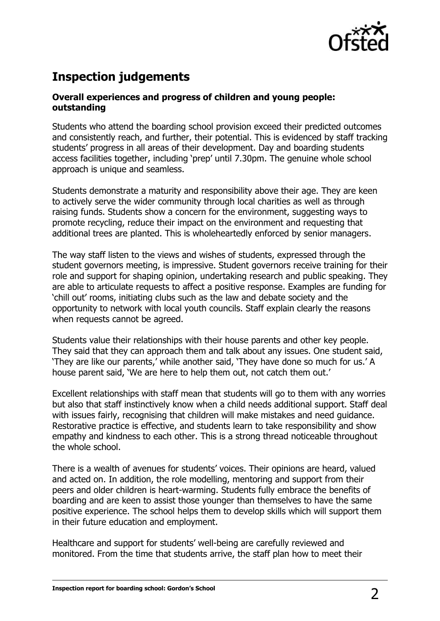

# **Inspection judgements**

#### **Overall experiences and progress of children and young people: outstanding**

Students who attend the boarding school provision exceed their predicted outcomes and consistently reach, and further, their potential. This is evidenced by staff tracking students' progress in all areas of their development. Day and boarding students access facilities together, including 'prep' until 7.30pm. The genuine whole school approach is unique and seamless.

Students demonstrate a maturity and responsibility above their age. They are keen to actively serve the wider community through local charities as well as through raising funds. Students show a concern for the environment, suggesting ways to promote recycling, reduce their impact on the environment and requesting that additional trees are planted. This is wholeheartedly enforced by senior managers.

The way staff listen to the views and wishes of students, expressed through the student governors meeting, is impressive. Student governors receive training for their role and support for shaping opinion, undertaking research and public speaking. They are able to articulate requests to affect a positive response. Examples are funding for 'chill out' rooms, initiating clubs such as the law and debate society and the opportunity to network with local youth councils. Staff explain clearly the reasons when requests cannot be agreed.

Students value their relationships with their house parents and other key people. They said that they can approach them and talk about any issues. One student said, 'They are like our parents,' while another said, 'They have done so much for us.' A house parent said, 'We are here to help them out, not catch them out.'

Excellent relationships with staff mean that students will go to them with any worries but also that staff instinctively know when a child needs additional support. Staff deal with issues fairly, recognising that children will make mistakes and need guidance. Restorative practice is effective, and students learn to take responsibility and show empathy and kindness to each other. This is a strong thread noticeable throughout the whole school.

There is a wealth of avenues for students' voices. Their opinions are heard, valued and acted on. In addition, the role modelling, mentoring and support from their peers and older children is heart-warming. Students fully embrace the benefits of boarding and are keen to assist those younger than themselves to have the same positive experience. The school helps them to develop skills which will support them in their future education and employment.

Healthcare and support for students' well-being are carefully reviewed and monitored. From the time that students arrive, the staff plan how to meet their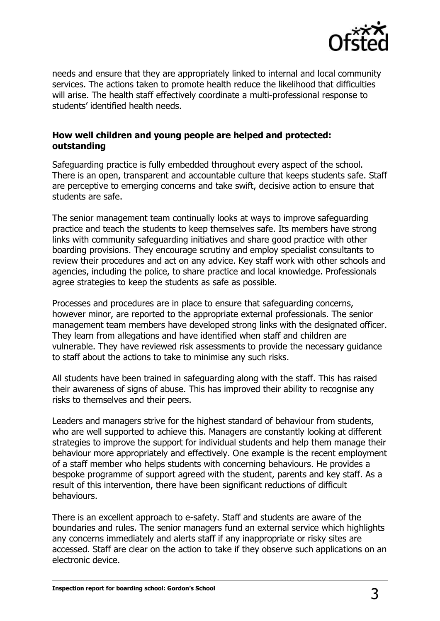

needs and ensure that they are appropriately linked to internal and local community services. The actions taken to promote health reduce the likelihood that difficulties will arise. The health staff effectively coordinate a multi-professional response to students' identified health needs.

#### **How well children and young people are helped and protected: outstanding**

Safeguarding practice is fully embedded throughout every aspect of the school. There is an open, transparent and accountable culture that keeps students safe. Staff are perceptive to emerging concerns and take swift, decisive action to ensure that students are safe.

The senior management team continually looks at ways to improve safeguarding practice and teach the students to keep themselves safe. Its members have strong links with community safeguarding initiatives and share good practice with other boarding provisions. They encourage scrutiny and employ specialist consultants to review their procedures and act on any advice. Key staff work with other schools and agencies, including the police, to share practice and local knowledge. Professionals agree strategies to keep the students as safe as possible.

Processes and procedures are in place to ensure that safeguarding concerns, however minor, are reported to the appropriate external professionals. The senior management team members have developed strong links with the designated officer. They learn from allegations and have identified when staff and children are vulnerable. They have reviewed risk assessments to provide the necessary guidance to staff about the actions to take to minimise any such risks.

All students have been trained in safeguarding along with the staff. This has raised their awareness of signs of abuse. This has improved their ability to recognise any risks to themselves and their peers.

Leaders and managers strive for the highest standard of behaviour from students, who are well supported to achieve this. Managers are constantly looking at different strategies to improve the support for individual students and help them manage their behaviour more appropriately and effectively. One example is the recent employment of a staff member who helps students with concerning behaviours. He provides a bespoke programme of support agreed with the student, parents and key staff. As a result of this intervention, there have been significant reductions of difficult behaviours.

There is an excellent approach to e-safety. Staff and students are aware of the boundaries and rules. The senior managers fund an external service which highlights any concerns immediately and alerts staff if any inappropriate or risky sites are accessed. Staff are clear on the action to take if they observe such applications on an electronic device.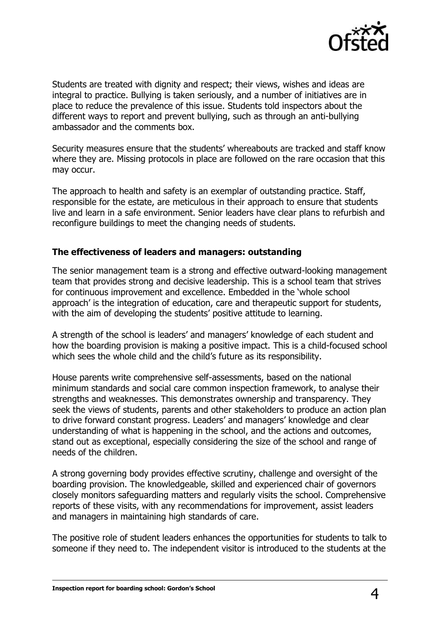

Students are treated with dignity and respect; their views, wishes and ideas are integral to practice. Bullying is taken seriously, and a number of initiatives are in place to reduce the prevalence of this issue. Students told inspectors about the different ways to report and prevent bullying, such as through an anti-bullying ambassador and the comments box.

Security measures ensure that the students' whereabouts are tracked and staff know where they are. Missing protocols in place are followed on the rare occasion that this may occur.

The approach to health and safety is an exemplar of outstanding practice. Staff, responsible for the estate, are meticulous in their approach to ensure that students live and learn in a safe environment. Senior leaders have clear plans to refurbish and reconfigure buildings to meet the changing needs of students.

#### **The effectiveness of leaders and managers: outstanding**

The senior management team is a strong and effective outward-looking management team that provides strong and decisive leadership. This is a school team that strives for continuous improvement and excellence. Embedded in the 'whole school approach' is the integration of education, care and therapeutic support for students, with the aim of developing the students' positive attitude to learning.

A strength of the school is leaders' and managers' knowledge of each student and how the boarding provision is making a positive impact. This is a child-focused school which sees the whole child and the child's future as its responsibility.

House parents write comprehensive self-assessments, based on the national minimum standards and social care common inspection framework, to analyse their strengths and weaknesses. This demonstrates ownership and transparency. They seek the views of students, parents and other stakeholders to produce an action plan to drive forward constant progress. Leaders' and managers' knowledge and clear understanding of what is happening in the school, and the actions and outcomes, stand out as exceptional, especially considering the size of the school and range of needs of the children.

A strong governing body provides effective scrutiny, challenge and oversight of the boarding provision. The knowledgeable, skilled and experienced chair of governors closely monitors safeguarding matters and regularly visits the school. Comprehensive reports of these visits, with any recommendations for improvement, assist leaders and managers in maintaining high standards of care.

The positive role of student leaders enhances the opportunities for students to talk to someone if they need to. The independent visitor is introduced to the students at the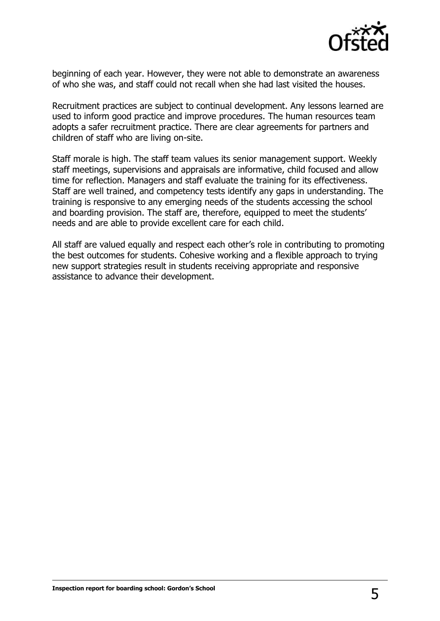

beginning of each year. However, they were not able to demonstrate an awareness of who she was, and staff could not recall when she had last visited the houses.

Recruitment practices are subject to continual development. Any lessons learned are used to inform good practice and improve procedures. The human resources team adopts a safer recruitment practice. There are clear agreements for partners and children of staff who are living on-site.

Staff morale is high. The staff team values its senior management support. Weekly staff meetings, supervisions and appraisals are informative, child focused and allow time for reflection. Managers and staff evaluate the training for its effectiveness. Staff are well trained, and competency tests identify any gaps in understanding. The training is responsive to any emerging needs of the students accessing the school and boarding provision. The staff are, therefore, equipped to meet the students' needs and are able to provide excellent care for each child.

All staff are valued equally and respect each other's role in contributing to promoting the best outcomes for students. Cohesive working and a flexible approach to trying new support strategies result in students receiving appropriate and responsive assistance to advance their development.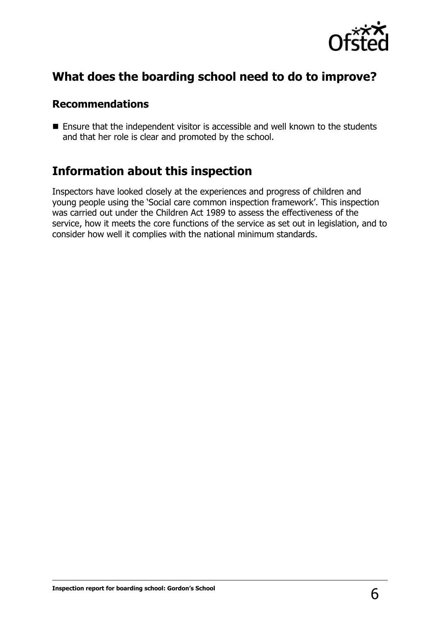

# **What does the boarding school need to do to improve?**

#### **Recommendations**

■ Ensure that the independent visitor is accessible and well known to the students and that her role is clear and promoted by the school.

### **Information about this inspection**

Inspectors have looked closely at the experiences and progress of children and young people using the 'Social care common inspection framework'. This inspection was carried out under the Children Act 1989 to assess the effectiveness of the service, how it meets the core functions of the service as set out in legislation, and to consider how well it complies with the national minimum standards.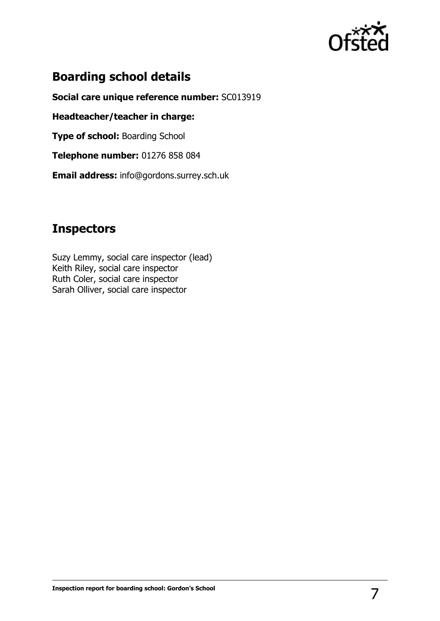

# **Boarding school details**

**Social care unique reference number:** SC013919

**Headteacher/teacher in charge:** 

**Type of school: Boarding School** 

**Telephone number:** 01276 858 084

**Email address:** info@gordons.surrey.sch.uk

# **Inspectors**

Suzy Lemmy, social care inspector (lead) Keith Riley, social care inspector Ruth Coler, social care inspector Sarah Olliver, social care inspector